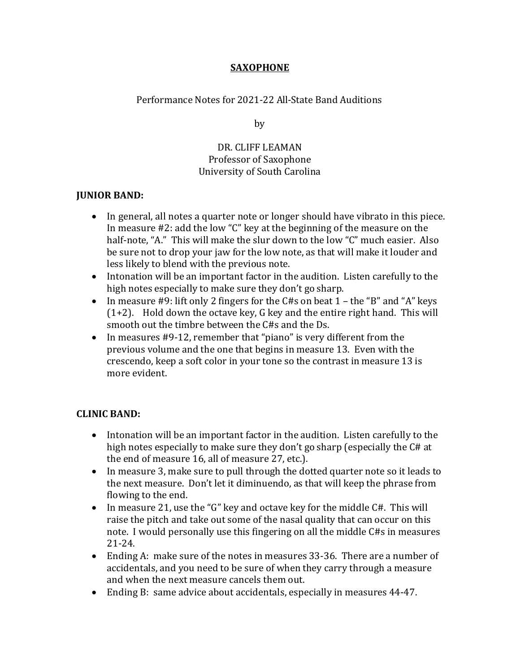# **SAXOPHONE**

Performance Notes for 2021-22 All-State Band Auditions

by

# DR. CLIFF LEAMAN Professor of Saxophone University of South Carolina

# **JUNIOR BAND:**

- In general, all notes a quarter note or longer should have vibrato in this piece. In measure  $#2$ : add the low "C" key at the beginning of the measure on the half-note, "A." This will make the slur down to the low "C" much easier. Also be sure not to drop your jaw for the low note, as that will make it louder and less likely to blend with the previous note.
- Intonation will be an important factor in the audition. Listen carefully to the high notes especially to make sure they don't go sharp.
- In measure #9: lift only 2 fingers for the C#s on beat  $1$  the "B" and "A" keys  $(1+2)$ . Hold down the octave key, G key and the entire right hand. This will smooth out the timbre between the C#s and the Ds.
- In measures #9-12, remember that "piano" is very different from the previous volume and the one that begins in measure 13. Even with the crescendo, keep a soft color in your tone so the contrast in measure 13 is more evident.

# **CLINIC BAND:**

- Intonation will be an important factor in the audition. Listen carefully to the high notes especially to make sure they don't go sharp (especially the C# at the end of measure 16, all of measure 27, etc.).
- In measure 3, make sure to pull through the dotted quarter note so it leads to the next measure. Don't let it diminuendo, as that will keep the phrase from flowing to the end.
- In measure 21, use the "G" key and octave key for the middle  $C#$ . This will raise the pitch and take out some of the nasal quality that can occur on this note. I would personally use this fingering on all the middle C#s in measures 21-24.
- Ending A: make sure of the notes in measures 33-36. There are a number of accidentals, and you need to be sure of when they carry through a measure and when the next measure cancels them out.
- Ending B: same advice about accidentals, especially in measures 44-47.